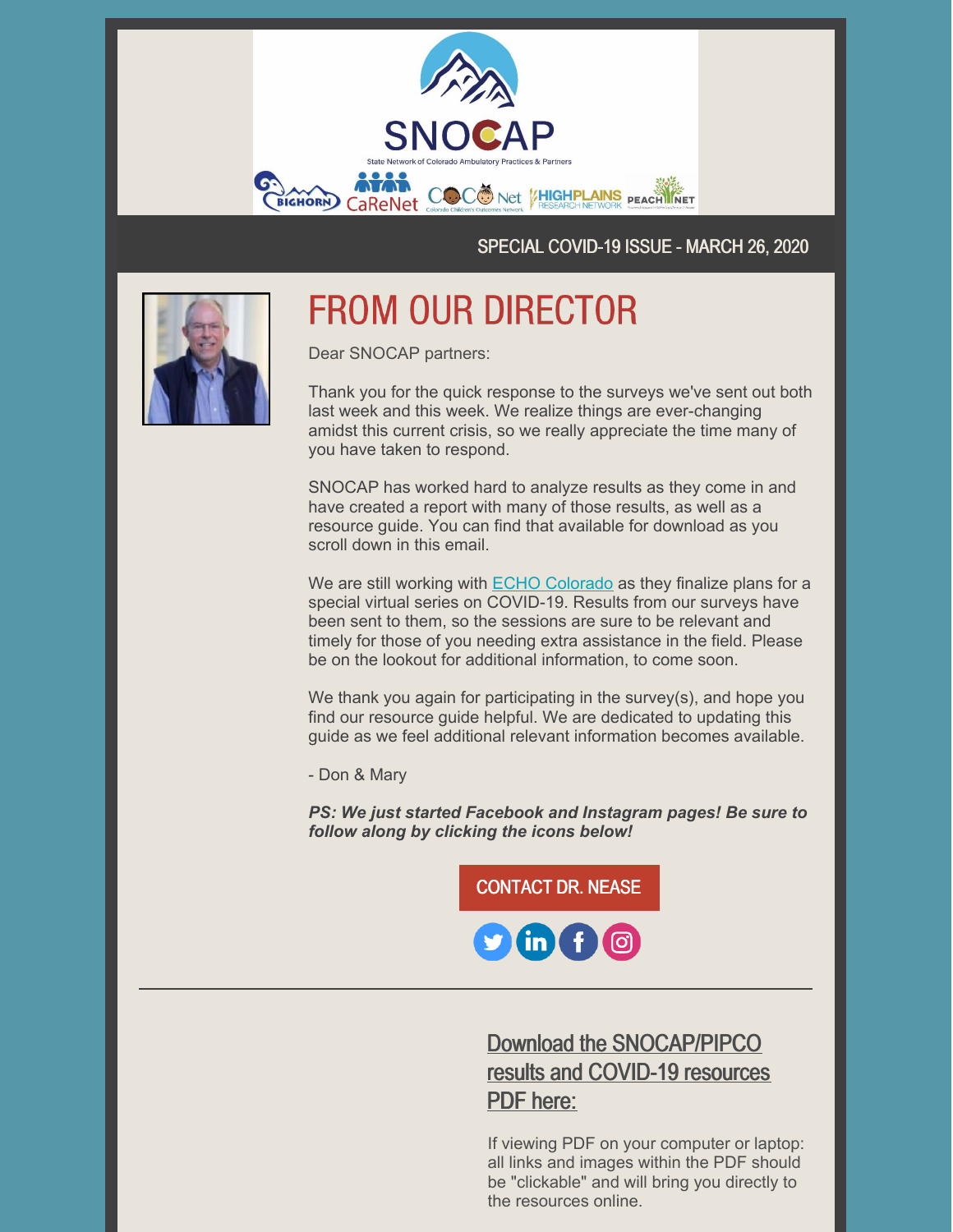

SPECIAL COVID-19 ISSUE - MARCH 26, 2020



# **FROM OUR DIRECTOR**

Dear SNOCAP partners:

Thank you for the quick response to the surveys we've sent out both last week and this week. We realize things are ever-changing amidst this current crisis, so we really appreciate the time many of you have taken to respond.

SNOCAP has worked hard to analyze results as they come in and have created a report with many of those results, as well as a resource guide. You can find that available for download as you scroll down in this email.

We are still working with **ECHO [Colorado](https://echocolorado.org/)** as they finalize plans for a special virtual series on COVID-19. Results from our surveys have been sent to them, so the sessions are sure to be relevant and timely for those of you needing extra assistance in the field. Please be on the lookout for additional information, to come soon.

We thank you again for participating in the survey(s), and hope you find our resource guide helpful. We are dedicated to updating this guide as we feel additional relevant information becomes available.

- Don & Mary

*PS: We just started Facebook and Instagram pages! Be sure to follow along by clicking the icons below!*



### Download the [SNOCAP/PIPCO](https://files.constantcontact.com/29e4ace2701/7dfcb33f-b619-4441-880f-5c5ee39bf474.pdf) results and COVID-19 resources PDF here:

If viewing PDF on your computer or laptop: all links and images within the PDF should be "clickable" and will bring you directly to the resources online.